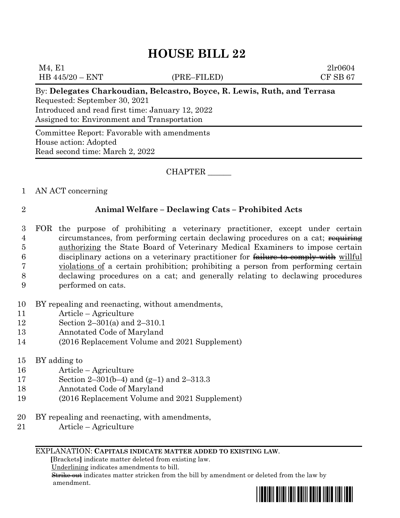# **HOUSE BILL 22**

 $M_4, E_1$  2lr0604 HB 445/20 – ENT (PRE–FILED) CF SB 67

# By: **Delegates Charkoudian, Belcastro, Boyce, R. Lewis, Ruth, and Terrasa**

Requested: September 30, 2021 Introduced and read first time: January 12, 2022 Assigned to: Environment and Transportation

Committee Report: Favorable with amendments House action: Adopted Read second time: March 2, 2022

## CHAPTER \_\_\_\_\_\_

1 AN ACT concerning

# 2 **Animal Welfare – Declawing Cats – Prohibited Acts**

- 3 FOR the purpose of prohibiting a veterinary practitioner, except under certain 4 circumstances, from performing certain declawing procedures on a cat; requiring 5 authorizing the State Board of Veterinary Medical Examiners to impose certain 6 disciplinary actions on a veterinary practitioner for failure to comply with willful 7 violations of a certain prohibition; prohibiting a person from performing certain 8 declawing procedures on a cat; and generally relating to declawing procedures 9 performed on cats.
- 10 BY repealing and reenacting, without amendments,
- 11 Article Agriculture
- 12 Section 2–301(a) and 2–310.1
- 13 Annotated Code of Maryland
- 14 (2016 Replacement Volume and 2021 Supplement)
- 15 BY adding to
- 16 Article Agriculture
- 17 Section 2–301(b–4) and (g–1) and 2–313.3
- 18 Annotated Code of Maryland
- 19 (2016 Replacement Volume and 2021 Supplement)
- 20 BY repealing and reenacting, with amendments,
- 21 Article Agriculture

### EXPLANATION: **CAPITALS INDICATE MATTER ADDED TO EXISTING LAW**.

 **[**Brackets**]** indicate matter deleted from existing law.

Underlining indicates amendments to bill.

 Strike out indicates matter stricken from the bill by amendment or deleted from the law by amendment.

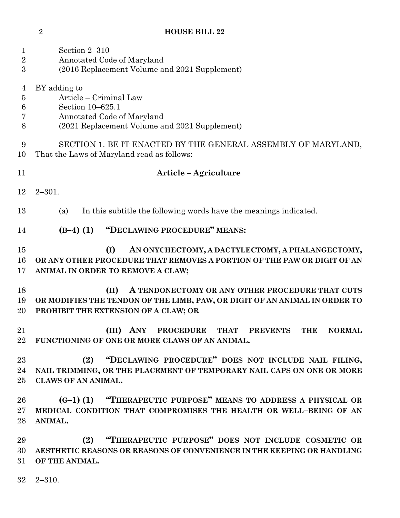# **HOUSE BILL 22**

| 1<br>$\overline{2}$<br>3                                      | Section 2-310<br>Annotated Code of Maryland<br>(2016 Replacement Volume and 2021 Supplement)                                                                                  |
|---------------------------------------------------------------|-------------------------------------------------------------------------------------------------------------------------------------------------------------------------------|
| $\overline{4}$<br>$\overline{5}$<br>$6\phantom{.}6$<br>7<br>8 | BY adding to<br>Article – Criminal Law<br>Section 10-625.1<br>Annotated Code of Maryland<br>(2021 Replacement Volume and 2021 Supplement)                                     |
| 9<br>10                                                       | SECTION 1. BE IT ENACTED BY THE GENERAL ASSEMBLY OF MARYLAND,<br>That the Laws of Maryland read as follows:                                                                   |
| 11                                                            | Article – Agriculture                                                                                                                                                         |
| 12                                                            | $2 - 301.$                                                                                                                                                                    |
| 13                                                            | In this subtitle the following words have the meanings indicated.<br>(a)                                                                                                      |
| 14                                                            | "DECLAWING PROCEDURE" MEANS:<br>$(B-4)$ (1)                                                                                                                                   |
| 15<br>16<br>17                                                | (I)<br>AN ONYCHECTOMY, A DACTYLECTOMY, A PHALANGECTOMY,<br>OR ANY OTHER PROCEDURE THAT REMOVES A PORTION OF THE PAW OR DIGIT OF AN<br>ANIMAL IN ORDER TO REMOVE A CLAW;       |
| 18<br>19<br>20                                                | (II)<br>A TENDONECTOMY OR ANY OTHER PROCEDURE THAT CUTS<br>OR MODIFIES THE TENDON OF THE LIMB, PAW, OR DIGIT OF AN ANIMAL IN ORDER TO<br>PROHIBIT THE EXTENSION OF A CLAW; OR |
| 21                                                            | ANY<br>(III)<br><b>PROCEDURE</b><br><b>THAT</b><br><b>PREVENTS</b><br><b>THE</b><br><b>NORMAL</b><br>22 FUNCTIONING OF ONE OR MORE CLAWS OF AN ANIMAL.                        |
| $23\,$<br>24<br>$25\,$                                        | "DECLAWING PROCEDURE" DOES NOT INCLUDE NAIL FILING,<br>(2)<br>NAIL TRIMMING, OR THE PLACEMENT OF TEMPORARY NAIL CAPS ON ONE OR MORE<br><b>CLAWS OF AN ANIMAL.</b>             |
| $26\,$<br>$27\,$<br>28                                        | (G-1) (1) "THERAPEUTIC PURPOSE" MEANS TO ADDRESS A PHYSICAL OR<br>MEDICAL CONDITION THAT COMPROMISES THE HEALTH OR WELL-BEING OF AN<br>ANIMAL.                                |
| 29<br>30<br>31                                                | "THERAPEUTIC PURPOSE" DOES NOT INCLUDE COSMETIC OR<br>(2)<br>AESTHETIC REASONS OR REASONS OF CONVENIENCE IN THE KEEPING OR HANDLING<br>OF THE ANIMAL.                         |

2–310.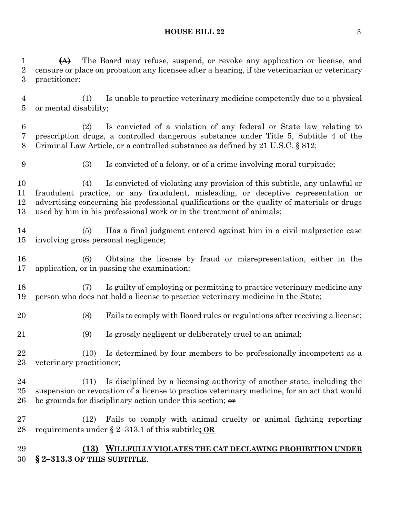#### **HOUSE BILL 22** 3

 **(A)** The Board may refuse, suspend, or revoke any application or license, and censure or place on probation any licensee after a hearing, if the veterinarian or veterinary practitioner:

 (1) Is unable to practice veterinary medicine competently due to a physical or mental disability;

 (2) Is convicted of a violation of any federal or State law relating to prescription drugs, a controlled dangerous substance under Title 5, Subtitle 4 of the Criminal Law Article, or a controlled substance as defined by 21 U.S.C. § 812;

(3) Is convicted of a felony, or of a crime involving moral turpitude;

 (4) Is convicted of violating any provision of this subtitle, any unlawful or fraudulent practice, or any fraudulent, misleading, or deceptive representation or advertising concerning his professional qualifications or the quality of materials or drugs used by him in his professional work or in the treatment of animals;

 (5) Has a final judgment entered against him in a civil malpractice case involving gross personal negligence;

 (6) Obtains the license by fraud or misrepresentation, either in the application, or in passing the examination;

 (7) Is guilty of employing or permitting to practice veterinary medicine any person who does not hold a license to practice veterinary medicine in the State;

- (8) Fails to comply with Board rules or regulations after receiving a license;
- (9) Is grossly negligent or deliberately cruel to an animal;

 (10) Is determined by four members to be professionally incompetent as a veterinary practitioner;

 (11) Is disciplined by a licensing authority of another state, including the suspension or revocation of a license to practice veterinary medicine, for an act that would 26 be grounds for disciplinary action under this section;  $\theta$ 

 (12) Fails to comply with animal cruelty or animal fighting reporting requirements under § 2–313.1 of this subtitle**; OR**

# **(13) WILLFULLY VIOLATES THE CAT DECLAWING PROHIBITION UNDER § 2–313.3 OF THIS SUBTITLE**.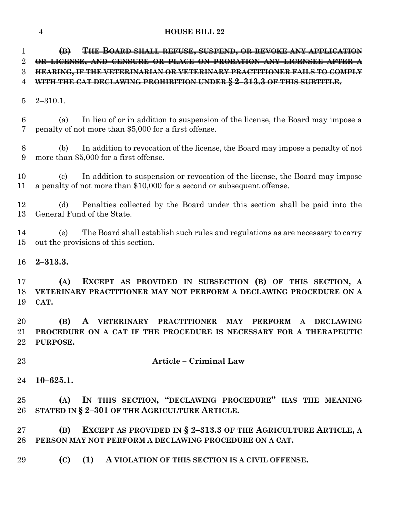#### **HOUSE BILL 22**

 **(B) THE BOARD SHALL REFUSE, SUSPEND, OR REVOKE ANY APPLICATION OR LICENSE, AND CENSURE OR PLACE ON PROBATION ANY LICENSEE AFTER A HEARING, IF THE VETERINARIAN OR VETERINARY PRACTITIONER FAILS TO COMPLY WITH THE CAT DECLAWING PROHIBITION UNDER § 2–313.3 OF THIS SUBTITLE.**

2–310.1.

 (a) In lieu of or in addition to suspension of the license, the Board may impose a penalty of not more than \$5,000 for a first offense.

 (b) In addition to revocation of the license, the Board may impose a penalty of not more than \$5,000 for a first offense.

 (c) In addition to suspension or revocation of the license, the Board may impose a penalty of not more than \$10,000 for a second or subsequent offense.

 (d) Penalties collected by the Board under this section shall be paid into the General Fund of the State.

 (e) The Board shall establish such rules and regulations as are necessary to carry out the provisions of this section.

# **2–313.3.**

 **(A) EXCEPT AS PROVIDED IN SUBSECTION (B) OF THIS SECTION, A VETERINARY PRACTITIONER MAY NOT PERFORM A DECLAWING PROCEDURE ON A CAT.**

 **(B) A VETERINARY PRACTITIONER MAY PERFORM A DECLAWING PROCEDURE ON A CAT IF THE PROCEDURE IS NECESSARY FOR A THERAPEUTIC PURPOSE.**

- **Article – Criminal Law**
- **10–625.1.**

 **(A) IN THIS SECTION, "DECLAWING PROCEDURE" HAS THE MEANING STATED IN § 2–301 OF THE AGRICULTURE ARTICLE.**

 **(B) EXCEPT AS PROVIDED IN § 2–313.3 OF THE AGRICULTURE ARTICLE, A PERSON MAY NOT PERFORM A DECLAWING PROCEDURE ON A CAT.**

**(C) (1) A VIOLATION OF THIS SECTION IS A CIVIL OFFENSE.**